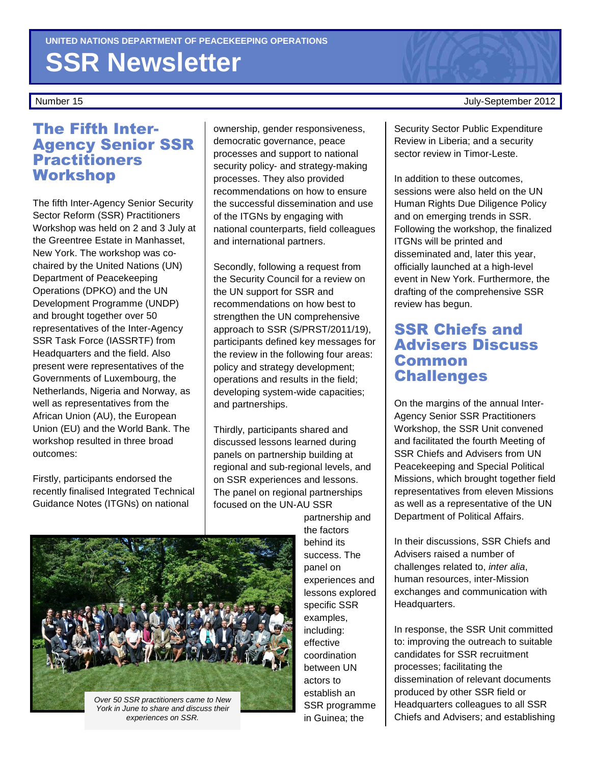# **SSR Newsletter**

#### The Fifth Inter-Agency Senior SSR **Practitioners** Workshop

The fifth Inter-Agency Senior Security Sector Reform (SSR) Practitioners Workshop was held on 2 and 3 July at the Greentree Estate in Manhasset, New York. The workshop was cochaired by the United Nations (UN) Department of Peacekeeping Operations (DPKO) and the UN Development Programme (UNDP) and brought together over 50 representatives of the Inter-Agency SSR Task Force (IASSRTF) from Headquarters and the field. Also present were representatives of the Governments of Luxembourg, the Netherlands, Nigeria and Norway, as well as representatives from the African Union (AU), the European Union (EU) and the World Bank. The workshop resulted in three broad outcomes:

Firstly, participants endorsed the recently finalised Integrated Technical Guidance Notes (ITGNs) on national

ownership, gender responsiveness, democratic governance, peace processes and support to national security policy- and strategy-making processes. They also provided recommendations on how to ensure the successful dissemination and use of the ITGNs by engaging with national counterparts, field colleagues and international partners.

Secondly, following a request from the Security Council for a review on the UN support for SSR and recommendations on how best to strengthen the UN comprehensive approach to SSR (S/PRST/2011/19), participants defined key messages for the review in the following four areas: policy and strategy development; operations and results in the field; developing system-wide capacities; and partnerships.

Thirdly, participants shared and discussed lessons learned during panels on partnership building at regional and sub-regional levels, and on SSR experiences and lessons. The panel on regional partnerships focused on the UN-AU SSR

> partnership and the factors behind its success. The panel on experiences and lessons explored specific SSR examples, including: effective coordination between UN actors to establish an SSR programme in Guinea; the

Number 15 July-September 2012

Security Sector Public Expenditure Review in Liberia; and a security sector review in Timor-Leste.

In addition to these outcomes, sessions were also held on the UN Human Rights Due Diligence Policy and on emerging trends in SSR. Following the workshop, the finalized ITGNs will be printed and disseminated and, later this year, officially launched at a high-level event in New York. Furthermore, the drafting of the comprehensive SSR review has begun.

#### SSR Chiefs and Advisers Discuss Common **Challenges**

On the margins of the annual Inter-Agency Senior SSR Practitioners Workshop, the SSR Unit convened and facilitated the fourth Meeting of SSR Chiefs and Advisers from UN Peacekeeping and Special Political Missions, which brought together field representatives from eleven Missions as well as a representative of the UN Department of Political Affairs.

In their discussions, SSR Chiefs and Advisers raised a number of challenges related to, inter alia, human resources, inter-Mission exchanges and communication with Headquarters.

In response, the SSR Unit committed to: improving the outreach to suitable candidates for SSR recruitment processes; facilitating the dissemination of relevant documents produced by other SSR field or Headquarters colleagues to all SSR Chiefs and Advisers; and establishing

Over 50 SSR practitioners came to New York in June to share and discuss their experiences on SSR.

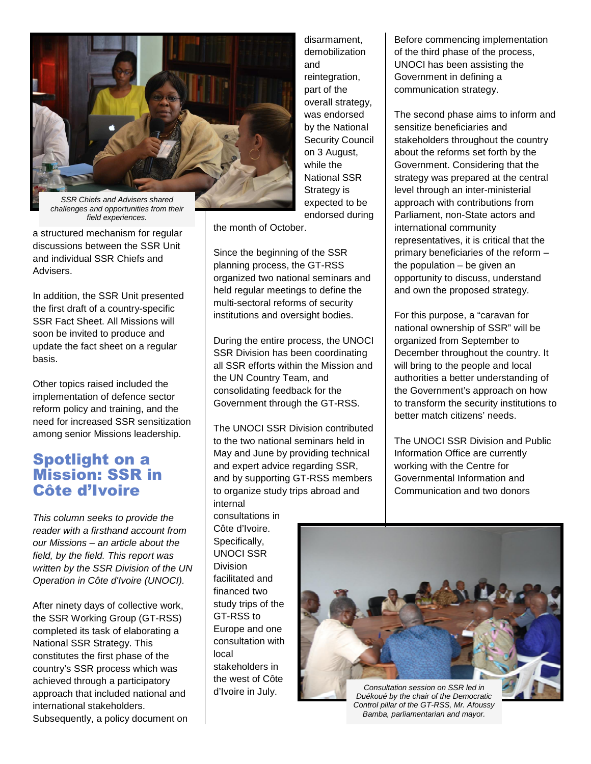

challenges and opportunities from their field experiences.

a structured mechanism for regular discussions between the SSR Unit and individual SSR Chiefs and Advisers.

In addition, the SSR Unit presented the first draft of a country-specific SSR Fact Sheet. All Missions will soon be invited to produce and update the fact sheet on a regular basis.

Other topics raised included the implementation of defence sector reform policy and training, and the need for increased SSR sensitization among senior Missions leadership.

#### Spotlight on a Mission: SSR in Côte d'Ivoire

This column seeks to provide the reader with a firsthand account from our Missions – an article about the field, by the field. This report was written by the SSR Division of the UN Operation in Côte d'Ivoire (UNOCI).

After ninety days of collective work, the SSR Working Group (GT-RSS) completed its task of elaborating a National SSR Strategy. This constitutes the first phase of the country's SSR process which was achieved through a participatory approach that included national and international stakeholders. Subsequently, a policy document on disarmament, demobilization and reintegration, part of the overall strategy, was endorsed by the National Security Council on 3 August, while the National SSR Strategy is expected to be endorsed during

the month of October.

Since the beginning of the SSR planning process, the GT-RSS organized two national seminars and held regular meetings to define the multi-sectoral reforms of security institutions and oversight bodies.

During the entire process, the UNOCI SSR Division has been coordinating all SSR efforts within the Mission and the UN Country Team, and consolidating feedback for the Government through the GT-RSS.

The UNOCI SSR Division contributed to the two national seminars held in May and June by providing technical and expert advice regarding SSR, and by supporting GT-RSS members to organize study trips abroad and internal

consultations in Côte d'Ivoire. Specifically, UNOCI SSR **Division** facilitated and financed two study trips of the GT-RSS to Europe and one consultation with local stakeholders in the west of Côte d'Ivoire in July.

Before commencing implementation of the third phase of the process, UNOCI has been assisting the Government in defining a communication strategy.

The second phase aims to inform and sensitize beneficiaries and stakeholders throughout the country about the reforms set forth by the Government. Considering that the strategy was prepared at the central level through an inter-ministerial approach with contributions from Parliament, non-State actors and international community representatives, it is critical that the primary beneficiaries of the reform – the population – be given an opportunity to discuss, understand and own the proposed strategy.

For this purpose, a "caravan for national ownership of SSR" will be organized from September to December throughout the country. It will bring to the people and local authorities a better understanding of the Government's approach on how to transform the security institutions to better match citizens' needs.

The UNOCI SSR Division and Public Information Office are currently working with the Centre for Governmental Information and Communication and two donors



Duékoué by the chair of the Democratic Control pillar of the GT-RSS, Mr. Afoussy Bamba, parliamentarian and mayor.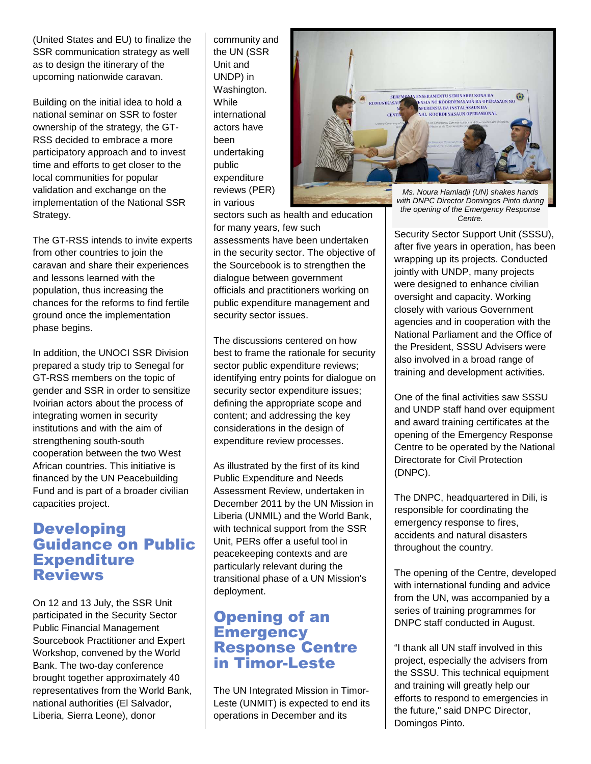(United States and EU) to finalize the SSR communication strategy as well as to design the itinerary of the upcoming nationwide caravan.

Building on the initial idea to hold a national seminar on SSR to foster ownership of the strategy, the GT-RSS decided to embrace a more participatory approach and to invest time and efforts to get closer to the local communities for popular validation and exchange on the implementation of the National SSR Strategy.

The GT-RSS intends to invite experts from other countries to join the caravan and share their experiences and lessons learned with the population, thus increasing the chances for the reforms to find fertile ground once the implementation phase begins.

In addition, the UNOCI SSR Division prepared a study trip to Senegal for GT-RSS members on the topic of gender and SSR in order to sensitize Ivoirian actors about the process of integrating women in security institutions and with the aim of strengthening south-south cooperation between the two West African countries. This initiative is financed by the UN Peacebuilding Fund and is part of a broader civilian capacities project.

#### Developing Guidance on Public **Expenditure** Reviews

On 12 and 13 July, the SSR Unit participated in the Security Sector Public Financial Management Sourcebook Practitioner and Expert Workshop, convened by the World Bank. The two-day conference brought together approximately 40 representatives from the World Bank, national authorities (El Salvador, Liberia, Sierra Leone), donor

community and the UN (SSR Unit and UNDP) in Washington. **While** international actors have been undertaking public expenditure reviews (PER) in various



sectors such as health and education for many years, few such assessments have been undertaken in the security sector. The objective of the Sourcebook is to strengthen the dialogue between government officials and practitioners working on public expenditure management and security sector issues.

The discussions centered on how best to frame the rationale for security sector public expenditure reviews; identifying entry points for dialogue on security sector expenditure issues; defining the appropriate scope and content; and addressing the key considerations in the design of expenditure review processes.

As illustrated by the first of its kind Public Expenditure and Needs Assessment Review, undertaken in December 2011 by the UN Mission in Liberia (UNMIL) and the World Bank, with technical support from the SSR Unit, PERs offer a useful tool in peacekeeping contexts and are particularly relevant during the transitional phase of a UN Mission's deployment.

#### Opening of an **Emergency** Response Centre in Timor-Leste

The UN Integrated Mission in Timor-Leste (UNMIT) is expected to end its operations in December and its

with DNPC Director Domingos Pinto during the opening of the Emergency Response Centre.

Security Sector Support Unit (SSSU), after five years in operation, has been wrapping up its projects. Conducted jointly with UNDP, many projects were designed to enhance civilian oversight and capacity. Working closely with various Government agencies and in cooperation with the National Parliament and the Office of the President, SSSU Advisers were also involved in a broad range of training and development activities.

One of the final activities saw SSSU and UNDP staff hand over equipment and award training certificates at the opening of the Emergency Response Centre to be operated by the National Directorate for Civil Protection (DNPC).

The DNPC, headquartered in Dili, is responsible for coordinating the emergency response to fires, accidents and natural disasters throughout the country.

The opening of the Centre, developed with international funding and advice from the UN, was accompanied by a series of training programmes for DNPC staff conducted in August.

"I thank all UN staff involved in this project, especially the advisers from the SSSU. This technical equipment and training will greatly help our efforts to respond to emergencies in the future," said DNPC Director, Domingos Pinto.